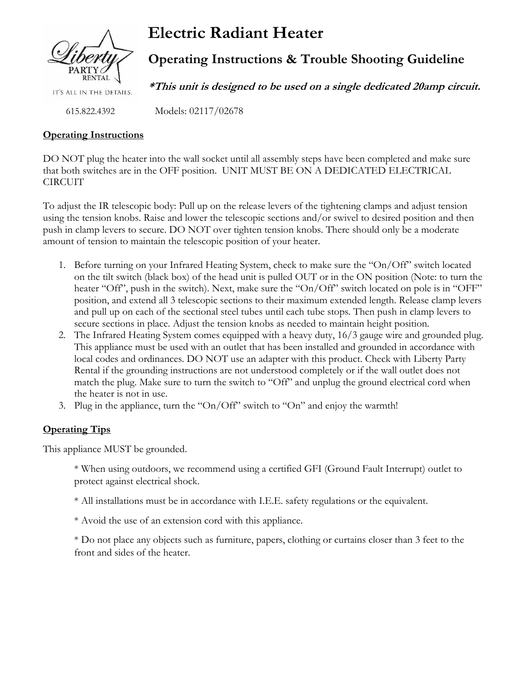

# **Electric Radiant Heater**

Models: 02117/02678

# **Operating Instructions & Trouble Shooting Guideline**

**\*This unit is designed to be used on a single dedicated 20amp circuit.**

IT'S ALL IN THE DETAILS.

615.822.4392

### **Operating Instructions**

DO NOT plug the heater into the wall socket until all assembly steps have been completed and make sure that both switches are in the OFF position. UNIT MUST BE ON A DEDICATED ELECTRICAL CIRCUIT

To adjust the IR telescopic body: Pull up on the release levers of the tightening clamps and adjust tension using the tension knobs. Raise and lower the telescopic sections and/or swivel to desired position and then push in clamp levers to secure. DO NOT over tighten tension knobs. There should only be a moderate amount of tension to maintain the telescopic position of your heater.

- 1. Before turning on your Infrared Heating System, check to make sure the "On/Off" switch located on the tilt switch (black box) of the head unit is pulled OUT or in the ON position (Note: to turn the heater "Off", push in the switch). Next, make sure the "On/Off" switch located on pole is in "OFF" position, and extend all 3 telescopic sections to their maximum extended length. Release clamp levers and pull up on each of the sectional steel tubes until each tube stops. Then push in clamp levers to secure sections in place. Adjust the tension knobs as needed to maintain height position.
- 2. The Infrared Heating System comes equipped with a heavy duty, 16/3 gauge wire and grounded plug. This appliance must be used with an outlet that has been installed and grounded in accordance with local codes and ordinances. DO NOT use an adapter with this product. Check with Liberty Party Rental if the grounding instructions are not understood completely or if the wall outlet does not match the plug. Make sure to turn the switch to "Off" and unplug the ground electrical cord when the heater is not in use.
- 3. Plug in the appliance, turn the "On/Off" switch to "On" and enjoy the warmth!

## **Operating Tips**

This appliance MUST be grounded.

\* When using outdoors, we recommend using a certified GFI (Ground Fault Interrupt) outlet to protect against electrical shock.

\* All installations must be in accordance with I.E.E. safety regulations or the equivalent.

\* Avoid the use of an extension cord with this appliance.

\* Do not place any objects such as furniture, papers, clothing or curtains closer than 3 feet to the front and sides of the heater.